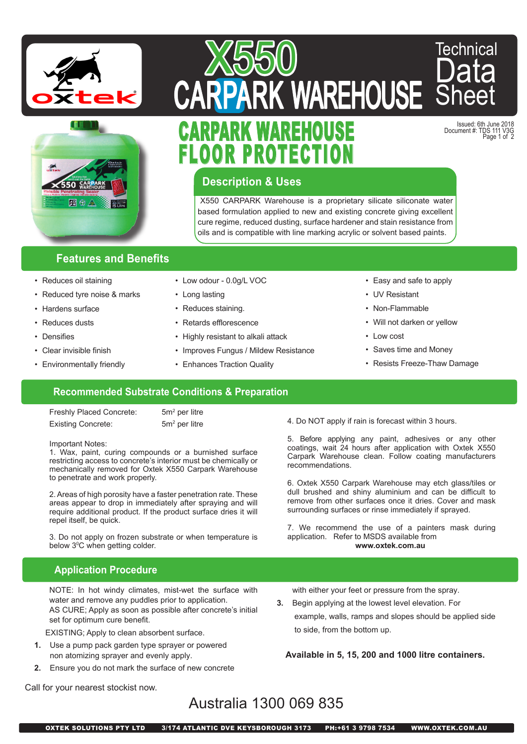



# RFHOU PROTECTI **UARPARK WAREHUUSE**

Issued: 6th June 2018 Document #: TDS 111 V3G Page 1 of 2

Technical

Data

Sheet

### **Description & Uses**

X550

X550 CARPARK Warehouse is a proprietary silicate siliconate water based formulation applied to new and existing concrete giving excellent cure regime, reduced dusting, surface hardener and stain resistance from oils and is compatible with line marking acrylic or solvent based paints.

#### **Features and Benefits**

- Reduces oil staining
- Reduced tyre noise & marks
- Hardens surface
- Reduces dusts
- Densifies
- Clear invisible finish
- Environmentally friendly
- Low odour 0.0g/L VOC
- Long lasting
- Reduces staining.
- Retards efflorescence
- Highly resistant to alkali attack
- Improves Fungus / Mildew Resistance
- Enhances Traction Quality
- Easy and safe to apply
- UV Resistant
- Non-Flammable
- Will not darken or yellow
- Low cost
- Saves time and Money
- Resists Freeze-Thaw Damage

#### **Recommended Substrate Conditions & Preparation**

Freshly Placed Concrete: Existing Concrete:

 $5m<sup>2</sup>$  per litre  $5m<sup>2</sup>$  per litre

#### Important Notes:

1. Wax, paint, curing compounds or a burnished surface restricting access to concrete's interior must be chemically or mechanically removed for Oxtek X550 Carpark Warehouse to penetrate and work properly.

2. Areas of high porosity have a faster penetration rate. These areas appear to drop in immediately after spraying and will require additional product. If the product surface dries it will repel itself, be quick.

3. Do not apply on frozen substrate or when temperature is below 3°C when getting colder.

#### **Application Procedure**

NOTE: In hot windy climates, mist-wet the surface with water and remove any puddles prior to application. AS CURE; Apply as soon as possible after concrete's initial set for optimum cure benefit.

EXISTING; Apply to clean absorbent surface.

- **1.** Use a pump pack garden type sprayer or powered non atomizing sprayer and evenly apply.
- **2.** Ensure you do not mark the surface of new concrete

4. Do NOT apply if rain is forecast within 3 hours.

5. Before applying any paint, adhesives or any other coatings, wait 24 hours after application with Oxtek X550 Carpark Warehouse clean. Follow coating manufacturers recommendations.

6. Oxtek X550 Carpark Warehouse may etch glass/tiles or dull brushed and shiny aluminium and can be difficult to remove from other surfaces once it dries. Cover and mask surrounding surfaces or rinse immediately if sprayed.

7. We recommend the use of a painters mask during application. Refer to MSDS available from **www.oxtek.com.au**

with either your feet or pressure from the spray.

**3.** Begin applying at the lowest level elevation. For

 example, walls, ramps and slopes should be applied side to side, from the bottom up.

**Available in 5, 15, 200 and 1000 litre containers.**

Call for your nearest stockist now.

## Australia 1300 069 835